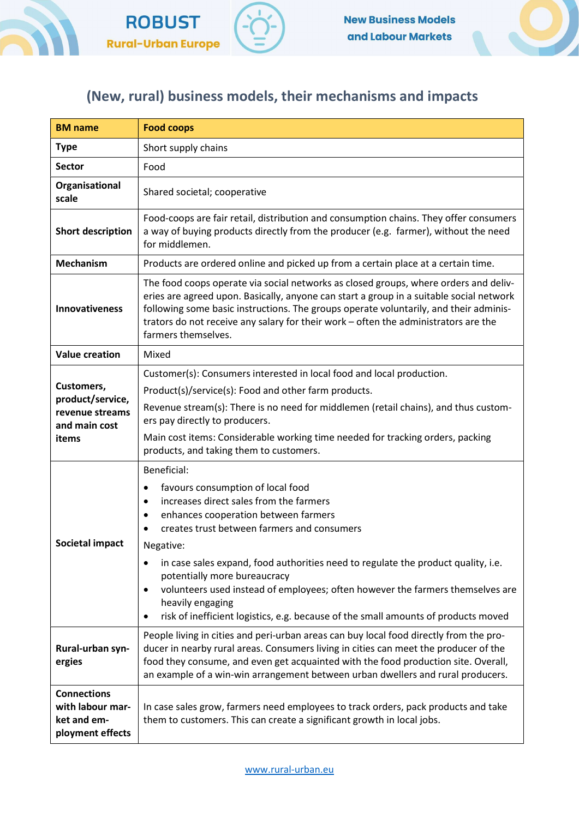



## (New, rural) business models, their mechanisms and impacts

| <b>BM</b> name                                                              | <b>Food coops</b>                                                                                                                                                                                                                                                                                                                                                                                                                                                                                                                                           |
|-----------------------------------------------------------------------------|-------------------------------------------------------------------------------------------------------------------------------------------------------------------------------------------------------------------------------------------------------------------------------------------------------------------------------------------------------------------------------------------------------------------------------------------------------------------------------------------------------------------------------------------------------------|
| <b>Type</b>                                                                 | Short supply chains                                                                                                                                                                                                                                                                                                                                                                                                                                                                                                                                         |
| <b>Sector</b>                                                               | Food                                                                                                                                                                                                                                                                                                                                                                                                                                                                                                                                                        |
| Organisational<br>scale                                                     | Shared societal; cooperative                                                                                                                                                                                                                                                                                                                                                                                                                                                                                                                                |
| <b>Short description</b>                                                    | Food-coops are fair retail, distribution and consumption chains. They offer consumers<br>a way of buying products directly from the producer (e.g. farmer), without the need<br>for middlemen.                                                                                                                                                                                                                                                                                                                                                              |
| <b>Mechanism</b>                                                            | Products are ordered online and picked up from a certain place at a certain time.                                                                                                                                                                                                                                                                                                                                                                                                                                                                           |
| <b>Innovativeness</b>                                                       | The food coops operate via social networks as closed groups, where orders and deliv-<br>eries are agreed upon. Basically, anyone can start a group in a suitable social network<br>following some basic instructions. The groups operate voluntarily, and their adminis-<br>trators do not receive any salary for their work - often the administrators are the<br>farmers themselves.                                                                                                                                                                      |
| <b>Value creation</b>                                                       | Mixed                                                                                                                                                                                                                                                                                                                                                                                                                                                                                                                                                       |
| Customers,<br>product/service,<br>revenue streams<br>and main cost<br>items | Customer(s): Consumers interested in local food and local production.<br>Product(s)/service(s): Food and other farm products.<br>Revenue stream(s): There is no need for middlemen (retail chains), and thus custom-<br>ers pay directly to producers.<br>Main cost items: Considerable working time needed for tracking orders, packing<br>products, and taking them to customers.                                                                                                                                                                         |
| <b>Societal impact</b>                                                      | Beneficial:<br>favours consumption of local food<br>٠<br>increases direct sales from the farmers<br>٠<br>enhances cooperation between farmers<br>٠<br>creates trust between farmers and consumers<br>$\bullet$<br>Negative:<br>in case sales expand, food authorities need to regulate the product quality, i.e.<br>٠<br>potentially more bureaucracy<br>volunteers used instead of employees; often however the farmers themselves are<br>٠<br>heavily engaging<br>risk of inefficient logistics, e.g. because of the small amounts of products moved<br>٠ |
| Rural-urban syn-<br>ergies                                                  | People living in cities and peri-urban areas can buy local food directly from the pro-<br>ducer in nearby rural areas. Consumers living in cities can meet the producer of the<br>food they consume, and even get acquainted with the food production site. Overall,<br>an example of a win-win arrangement between urban dwellers and rural producers.                                                                                                                                                                                                     |
| <b>Connections</b><br>with labour mar-<br>ket and em-<br>ployment effects   | In case sales grow, farmers need employees to track orders, pack products and take<br>them to customers. This can create a significant growth in local jobs.                                                                                                                                                                                                                                                                                                                                                                                                |